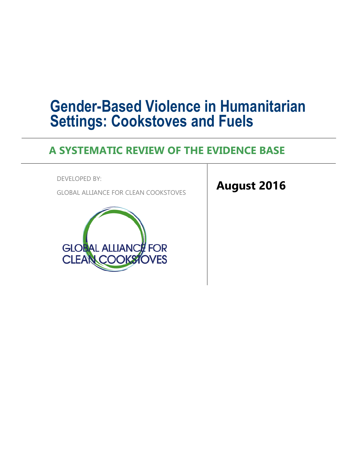# **Gender-Based Violence in Humanitarian Settings: Cookstoves and Fuels**

## **A SYSTEMATIC REVIEW OF THE EVIDENCE BASE**

DEVELOPED BY:

GLOBAL ALLIANCE FOR CLEAN COOKSTOVES



**August 2016**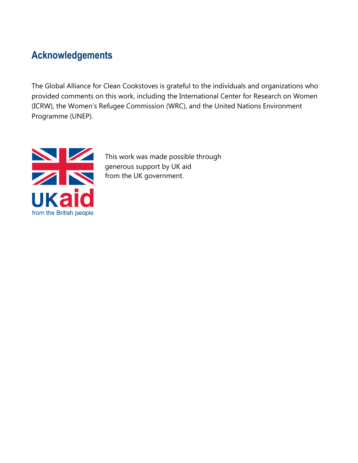## **Acknowledgements**

The Global Alliance for Clean Cookstoves is grateful to the individuals and organizations who provided comments on this work, including the International Center for Research on Women (ICRW), the Women's Refugee Commission (WRC), and the United Nations Environment Programme (UNEP).



This work was made possible through generous support by UK aid from the UK government.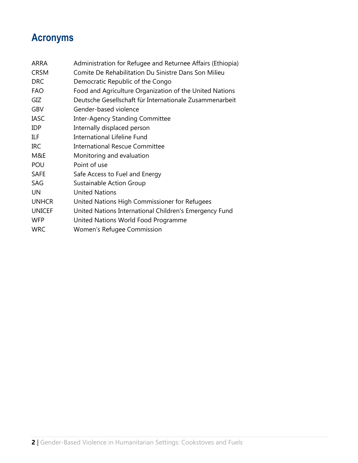## **Acronyms**

| ARRA          | Administration for Refugee and Returnee Affairs (Ethiopia) |
|---------------|------------------------------------------------------------|
| <b>CRSM</b>   | Comite De Rehabilitation Du Sinistre Dans Son Milieu       |
| <b>DRC</b>    | Democratic Republic of the Congo                           |
| <b>FAO</b>    | Food and Agriculture Organization of the United Nations    |
| GIZ           | Deutsche Gesellschaft für Internationale Zusammenarbeit    |
| GBV           | Gender-based violence                                      |
| <b>IASC</b>   | <b>Inter-Agency Standing Committee</b>                     |
| <b>IDP</b>    | Internally displaced person                                |
| <b>ILF</b>    | International Lifeline Fund                                |
| <b>IRC</b>    | <b>International Rescue Committee</b>                      |
| M&E           | Monitoring and evaluation                                  |
| POU           | Point of use                                               |
| <b>SAFE</b>   | Safe Access to Fuel and Energy                             |
| SAG           | Sustainable Action Group                                   |
| <b>UN</b>     | <b>United Nations</b>                                      |
| <b>UNHCR</b>  | United Nations High Commissioner for Refugees              |
| <b>UNICEF</b> | United Nations International Children's Emergency Fund     |
| <b>WFP</b>    | United Nations World Food Programme                        |
| <b>WRC</b>    | Women's Refugee Commission                                 |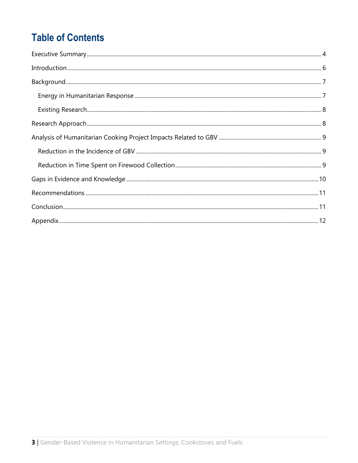## **Table of Contents**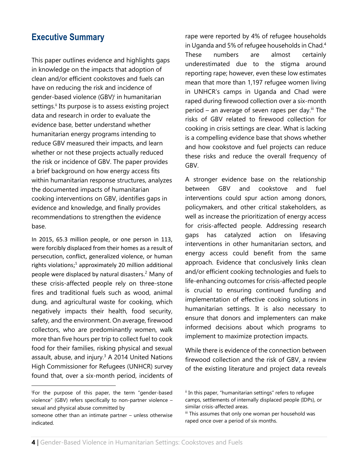#### **Executive Summary**

This paper outlines evidence and highlights gaps in knowledge on the impacts that adoption of clean and/or efficient cookstoves and fuels can have on reducing the risk and incidence of gender-based violence (GBV)<sup>i</sup> in humanitarian settings.<sup>ii</sup> Its purpose is to assess existing project data and research in order to evaluate the evidence base, better understand whether humanitarian energy programs intending to reduce GBV measured their impacts, and learn whether or not these projects actually reduced the risk or incidence of GBV. The paper provides a brief background on how energy access fits within humanitarian response structures, analyzes the documented impacts of humanitarian cooking interventions on GBV, identifies gaps in evidence and knowledge, and finally provides recommendations to strengthen the evidence base.

In 2015, 65.3 million people, or one person in 113, were forcibly displaced from their homes as a result of persecution, conflict, generalized violence, or human rights violations; <sup>1</sup> approximately 20 million additional people were displaced by natural disasters.<sup>2</sup> Many of these crisis-affected people rely on three-stone fires and traditional fuels such as wood, animal dung, and agricultural waste for cooking, which negatively impacts their health, food security, safety, and the environment. On average, firewood collectors, who are predominantly women, walk more than five hours per trip to collect fuel to cook food for their families, risking physical and sexual assault, abuse, and injury. <sup>3</sup> A 2014 United Nations High Commissioner for Refugees (UNHCR) survey found that, over a six-month period, incidents of

rape were reported by 4% of refugee households in Uganda and 5% of refugee households in Chad.<sup>4</sup> These numbers are almost certainly underestimated due to the stigma around reporting rape; however, even these low estimates mean that more than 1,197 refugee women living in UNHCR's camps in Uganda and Chad were raped during firewood collection over a six-month period – an average of seven rapes per day.<sup>iii</sup> The risks of GBV related to firewood collection for cooking in crisis settings are clear. What is lacking is a compelling evidence base that shows whether and how cookstove and fuel projects can reduce these risks and reduce the overall frequency of GBV.

A stronger evidence base on the relationship between GBV and cookstove and fuel interventions could spur action among donors, policymakers, and other critical stakeholders, as well as increase the prioritization of energy access for crisis-affected people. Addressing research gaps has catalyzed action on lifesaving interventions in other humanitarian sectors, and energy access could benefit from the same approach. Evidence that conclusively links clean and/or efficient cooking technologies and fuels to life-enhancing outcomes for crisis-affected people is crucial to ensuring continued funding and implementation of effective cooking solutions in humanitarian settings. It is also necessary to ensure that donors and implementers can make informed decisions about which programs to implement to maximize protection impacts.

While there is evidence of the connection between firewood collection and the risk of GBV, a review of the existing literature and project data reveals

<sup>i</sup>For the purpose of this paper, the term "gender-based violence" (GBV) refers specifically to non-partner violence – sexual and physical abuse committed by

someone other than an intimate partner – unless otherwise indicated.

ii In this paper, "humanitarian settings" refers to refugee camps, settlements of internally displaced people (IDPs), or similar crisis-affected areas.

iii This assumes that only one woman per household was raped once over a period of six months.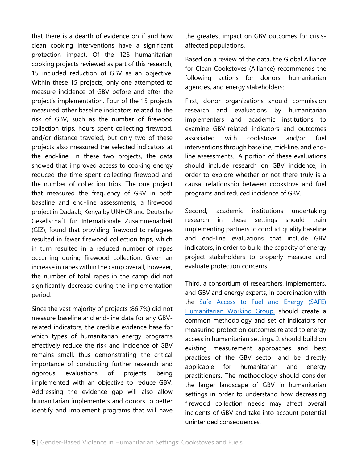that there is a dearth of evidence on if and how clean cooking interventions have a significant protection impact. Of the 126 humanitarian cooking projects reviewed as part of this research, 15 included reduction of GBV as an objective. Within these 15 projects, only one attempted to measure incidence of GBV before and after the project's implementation. Four of the 15 projects measured other baseline indicators related to the risk of GBV, such as the number of firewood collection trips, hours spent collecting firewood, and/or distance traveled, but only two of these projects also measured the selected indicators at the end-line. In these two projects, the data showed that improved access to cooking energy reduced the time spent collecting firewood and the number of collection trips. The one project that measured the frequency of GBV in both baseline and end-line assessments, a firewood project in Dadaab, Kenya by UNHCR and [Deutsche](https://www.giz.de/en/html/index.html)  [Gesellschaft für Internationale Zusammenarbeit](https://www.giz.de/en/html/index.html)  [\(GIZ\),](https://www.giz.de/en/html/index.html) found that providing firewood to refugees resulted in fewer firewood collection trips, which in turn resulted in a reduced number of rapes occurring during firewood collection. Given an increase in rapes within the camp overall, however, the number of total rapes in the camp did not significantly decrease during the implementation period.

Since the vast majority of projects (86.7%) did not measure baseline and end-line data for any GBVrelated indicators, the credible evidence base for which types of humanitarian energy programs effectively reduce the risk and incidence of GBV remains small, thus demonstrating the critical importance of conducting further research and rigorous evaluations of projects being implemented with an objective to reduce GBV. Addressing the evidence gap will also allow humanitarian implementers and donors to better identify and implement programs that will have

the greatest impact on GBV outcomes for crisisaffected populations.

Based on a review of the data, the Global Alliance for Clean Cookstoves (Alliance) recommends the following actions for donors, humanitarian agencies, and energy stakeholders:

First, donor organizations should commission research and evaluations by humanitarian implementers and academic institutions to examine GBV-related indicators and outcomes associated with cookstove and/or fuel interventions through baseline, mid-line, and endline assessments. A portion of these evaluations should include research on GBV incidence, in order to explore whether or not there truly is a causal relationship between cookstove and fuel programs and reduced incidence of GBV.

Second, academic institutions undertaking research in these settings should train implementing partners to conduct quality baseline and end-line evaluations that include GBV indicators, in order to build the capacity of energy project stakeholders to properly measure and evaluate protection concerns.

Third, a consortium of researchers, implementers, and GBV and energy experts, in coordination with the [Safe Access to Fuel and Energy \(SAFE\)](http://www.safefuelandenergy.org/)  [Humanitarian Working Group,](http://www.safefuelandenergy.org/) should create a common methodology and set of indicators for measuring protection outcomes related to energy access in humanitarian settings. It should build on existing measurement approaches and best practices of the GBV sector and be directly applicable for humanitarian and energy practitioners. The methodology should consider the larger landscape of GBV in humanitarian settings in order to understand how decreasing firewood collection needs may affect overall incidents of GBV and take into account potential unintended consequences.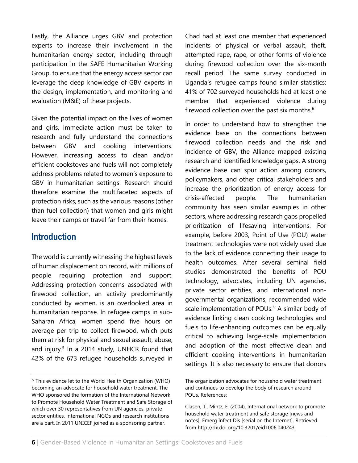Lastly, the Alliance urges GBV and protection experts to increase their involvement in the humanitarian energy sector, including through participation in the SAFE Humanitarian Working Group, to ensure that the energy access sector can leverage the deep knowledge of GBV experts in the design, implementation, and monitoring and evaluation (M&E) of these projects.

Given the potential impact on the lives of women and girls, immediate action must be taken to research and fully understand the connections between GBV and cooking interventions. However, increasing access to clean and/or efficient cookstoves and fuels will not completely address problems related to women's exposure to GBV in humanitarian settings. Research should therefore examine the multifaceted aspects of protection risks, such as the various reasons (other than fuel collection) that women and girls might leave their camps or travel far from their homes.

#### **Introduction**

The world is currently witnessing the highest levels of human displacement on record, with millions of people requiring protection and support. Addressing protection concerns associated with firewood collection, an activity predominantly conducted by women, is an overlooked area in humanitarian response. In refugee camps in sub-Saharan Africa, women spend five hours on average per trip to collect firewood, which puts them at risk for physical and sexual assault, abuse, and injury.<sup>5</sup> In a 2014 study, UNHCR found that 42% of the 673 refugee households surveyed in Chad had at least one member that experienced incidents of physical or verbal assault, theft, attempted rape, rape, or other forms of violence during firewood collection over the six-month recall period. The same survey conducted in Uganda's refugee camps found similar statistics: 41% of 702 surveyed households had at least one member that experienced violence during firewood collection over the past six months.<sup>6</sup>

In order to understand how to strengthen the evidence base on the connections between firewood collection needs and the risk and incidence of GBV, the Alliance mapped existing research and identified knowledge gaps. A strong evidence base can spur action among donors, policymakers, and other critical stakeholders and increase the prioritization of energy access for crisis-affected people. The humanitarian community has seen similar examples in other sectors, where addressing research gaps propelled prioritization of lifesaving interventions. For example, before 2003, Point of Use (POU) water treatment technologies were not widely used due to the lack of evidence connecting their usage to health outcomes. After several seminal field studies demonstrated the benefits of POU technology, advocates, including UN agencies, private sector entities, and international nongovernmental organizations, recommended wide scale implementation of POUs.<sup>iv</sup> A similar body of evidence linking clean cooking technologies and fuels to life-enhancing outcomes can be equally critical to achieving large-scale implementation and adoption of the most effective clean and efficient cooking interventions in humanitarian settings. It is also necessary to ensure that donors

iv This evidence let to the World Health Organization (WHO) becoming an advocate for household water treatment. The WHO sponsored the formation of the International Network to Promote Household Water Treatment and Safe Storage of which over 30 representatives from UN agencies, private sector entities, international NGOs and research institutions are a part. In 2011 UNICEF joined as a sponsoring partner.

The organization advocates for household water treatment and continues to develop the body of research around POUs. References:

Clasen, T., Mintz, E. (2004). International network to promote household water treatment and safe storage [news and notes]. Emerg Infect Dis [serial on the Internet]. Retrieved from [http://dx.doi.org/10.3201/eid1006.040243.](http://dx.doi.org/10.3201/eid1006.040243)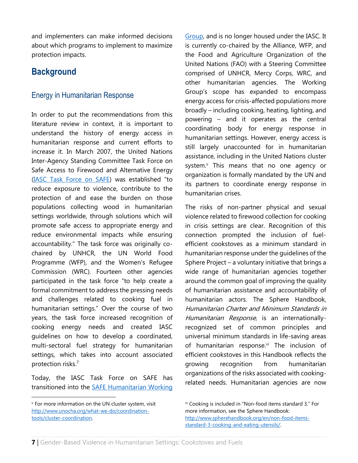and implementers can make informed decisions about which programs to implement to maximize protection impacts.

### **Background**

#### Energy in Humanitarian Response

In order to put the recommendations from this literature review in context, it is important to understand the history of energy access in humanitarian response and current efforts to increase it. In March 2007, the United Nations Inter-Agency Standing Committee Task Force on Safe Access to Firewood and Alternative Energy [\(IASC Task Force on SAFE](http://www.safefuelandenergy.org/about/history.cfm)) was established "to reduce exposure to violence, contribute to the protection of and ease the burden on those populations collecting wood in humanitarian settings worldwide, through solutions which will promote safe access to appropriate energy and reduce environmental impacts while ensuring accountability." The task force was originally cochaired by UNHCR, the UN World Food Programme (WFP), and the Women's Refugee Commission (WRC). Fourteen other agencies participated in the task force "to help create a formal commitment to address the pressing needs and challenges related to cooking fuel in humanitarian settings." Over the course of two years, the task force increased recognition of cooking energy needs and created IASC guidelines on how to develop a coordinated, multi-sectoral fuel strategy for humanitarian settings, which takes into account associated protection risks. 7

Today, the IASC Task Force on SAFE has transitioned into the [SAFE Humanitarian Working](http://www.safefuelandenergy.org/) 

[Group,](http://www.safefuelandenergy.org/) and is no longer housed under the IASC. It is currently co-chaired by the Alliance, WFP, and the Food and Agriculture Organization of the United Nations (FAO) with a Steering Committee comprised of UNHCR, Mercy Corps, WRC, and other humanitarian agencies. The Working Group's scope has expanded to encompass energy access for crisis-affected populations more broadly – including cooking, heating, lighting, and powering – and it operates as the central coordinating body for energy response in humanitarian settings. However, energy access is still largely unaccounted for in humanitarian assistance, including in the United Nations cluster system.<sup>v</sup> This means that no one agency or organization is formally mandated by the UN and its partners to coordinate energy response in humanitarian crises.

The risks of non-partner physical and sexual violence related to firewood collection for cooking in crisis settings are clear. Recognition of this connection prompted the inclusion of fuelefficient cookstoves as a minimum standard in humanitarian response under the guidelines of the Sphere Project – a voluntary initiative that brings a wide range of humanitarian agencies together around the common goal of improving the quality of humanitarian assistance and accountability of humanitarian actors. The Sphere Handbook, Humanitarian Charter and Minimum Standards in Humanitarian Response, is an internationallyrecognized set of common principles and universal minimum standards in life-saving areas of humanitarian response.vi The inclusion of efficient cookstoves in this Handbook reflects the growing recognition from humanitarian organizations of the risks associated with cookingrelated needs. Humanitarian agencies are now

<sup>v</sup> For more information on the UN cluster system, visit [http://www.unocha.org/what-we-do/coordination](http://www.unocha.org/what-we-do/coordination-tools/cluster-coordination)[tools/cluster-coordination.](http://www.unocha.org/what-we-do/coordination-tools/cluster-coordination)

vi Cooking is included in "Non-food items standard 3." For more information, see the Sphere Handbook: [http://www.spherehandbook.org/en/non-food-items](http://www.spherehandbook.org/en/non-food-items-standard-3-cooking-and-eating-utensils/)[standard-3-cooking-and-eating-utensils/.](http://www.spherehandbook.org/en/non-food-items-standard-3-cooking-and-eating-utensils/)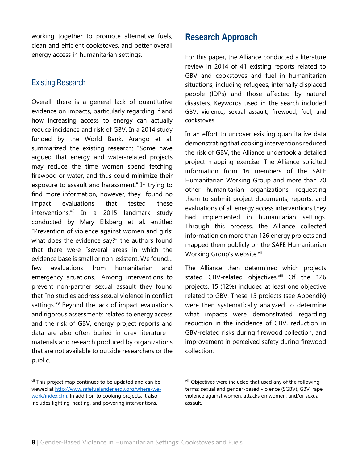working together to promote alternative fuels, clean and efficient cookstoves, and better overall energy access in humanitarian settings.

#### Existing Research

Overall, there is a general lack of quantitative evidence on impacts, particularly regarding if and how increasing access to energy can actually reduce incidence and risk of GBV. In a 2014 study funded by the World Bank, Arango et al. summarized the existing research: "Some have argued that energy and water-related projects may reduce the time women spend fetching firewood or water, and thus could minimize their exposure to assault and harassment." In trying to find more information, however, they "found no impact evaluations that tested these interventions." 8 In a 2015 landmark study conducted by Mary Ellsberg et al. entitled "Prevention of violence against women and girls: what does the evidence say?" the authors found that there were "several areas in which the evidence base is small or non-existent. We found… few evaluations from humanitarian and emergency situations." Among interventions to prevent non-partner sexual assault they found that "no studies address sexual violence in conflict settings."<sup>9</sup> Beyond the lack of impact evaluations and rigorous assessments related to energy access and the risk of GBV, energy project reports and data are also often buried in grey literature – materials and research produced by organizations that are not available to outside researchers or the public.

### **Research Approach**

For this paper, the Alliance conducted a literature review in 2014 of 41 existing reports related to GBV and cookstoves and fuel in humanitarian situations, including refugees, internally displaced people (IDPs) and those affected by natural disasters. Keywords used in the search included GBV, violence, sexual assault, firewood, fuel, and cookstoves.

In an effort to uncover existing quantitative data demonstrating that cooking interventions reduced the risk of GBV, the Alliance undertook a detailed project mapping exercise. The Alliance solicited information from 16 members of the SAFE Humanitarian Working Group and more than 70 other humanitarian organizations, requesting them to submit project documents, reports, and evaluations of all energy access interventions they had implemented in humanitarian settings. Through this process, the Alliance collected information on more than 126 energy projects and mapped them publicly on the SAFE Humanitarian Working Group's website.vii

The Alliance then determined which projects stated GBV-related objectives.viii Of the 126 projects, 15 (12%) included at least one objective related to GBV. These 15 projects (see Appendix) were then systematically analyzed to determine what impacts were demonstrated regarding reduction in the incidence of GBV, reduction in GBV-related risks during firewood collection, and improvement in perceived safety during firewood collection.

vii This project map continues to be updated and can be viewed at [http://www.safefuelandenergy.org/where-we](http://www.safefuelandenergy.org/where-we-work/index.cfm)[work/index.cfm.](http://www.safefuelandenergy.org/where-we-work/index.cfm) In addition to cooking projects, it also includes lighting, heating, and powering interventions.

viii Objectives were included that used any of the following terms: sexual and gender-based violence (SGBV), GBV, rape, violence against women, attacks on women, and/or sexual assault.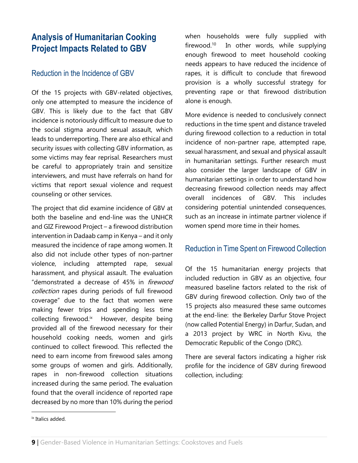### **Analysis of Humanitarian Cooking Project Impacts Related to GBV**

#### Reduction in the Incidence of GBV

Of the 15 projects with GBV-related objectives, only one attempted to measure the incidence of GBV. This is likely due to the fact that GBV incidence is notoriously difficult to measure due to the social stigma around sexual assault, which leads to underreporting. There are also ethical and security issues with collecting GBV information, as some victims may fear reprisal. Researchers must be careful to appropriately train and sensitize interviewers, and must have referrals on hand for victims that report sexual violence and request counseling or other services.

The project that did examine incidence of GBV at both the baseline and end-line was the UNHCR and GIZ Firewood Project – a firewood distribution intervention in Dadaab camp in Kenya – and it only measured the incidence of rape among women. It also did not include other types of non-partner violence, including attempted rape, sexual harassment, and physical assault. The evaluation "demonstrated a decrease of 45% in firewood collection rapes during periods of full firewood coverage" due to the fact that women were making fewer trips and spending less time collecting firewood.<sup>ix</sup> However, despite being provided all of the firewood necessary for their household cooking needs, women and girls continued to collect firewood. This reflected the need to earn income from firewood sales among some groups of women and girls. Additionally, rapes in non-firewood collection situations increased during the same period. The evaluation found that the overall incidence of reported rape decreased by no more than 10% during the period

when households were fully supplied with firewood.<sup>10</sup> In other words, while supplying enough firewood to meet household cooking needs appears to have reduced the incidence of rapes, it is difficult to conclude that firewood provision is a wholly successful strategy for preventing rape or that firewood distribution alone is enough.

More evidence is needed to conclusively connect reductions in the time spent and distance traveled during firewood collection to a reduction in total incidence of non-partner rape, attempted rape, sexual harassment, and sexual and physical assault in humanitarian settings. Further research must also consider the larger landscape of GBV in humanitarian settings in order to understand how decreasing firewood collection needs may affect overall incidences of GBV. This includes considering potential unintended consequences, such as an increase in intimate partner violence if women spend more time in their homes.

#### Reduction in Time Spent on Firewood Collection

Of the 15 humanitarian energy projects that included reduction in GBV as an objective, four measured baseline factors related to the risk of GBV during firewood collection. Only two of the 15 projects also measured these same outcomes at the end-line: the Berkeley Darfur Stove Project (now called Potential Energy) in Darfur, Sudan, and a 2013 project by WRC in North Kivu, the Democratic Republic of the Congo (DRC).

There are several factors indicating a higher risk profile for the incidence of GBV during firewood collection, including:

 $\overline{a}$ 

ix Italics added.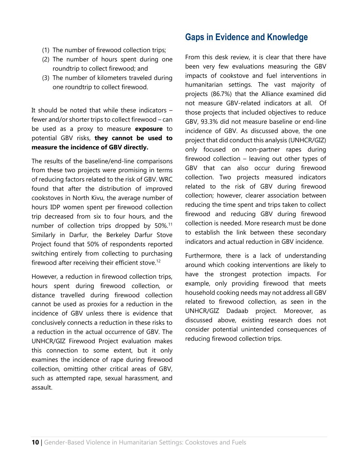- (1) The number of firewood collection trips;
- (2) The number of hours spent during one roundtrip to collect firewood; and
- (3) The number of kilometers traveled during one roundtrip to collect firewood.

It should be noted that while these indicators – fewer and/or shorter trips to collect firewood – can be used as a proxy to measure **exposure** to potential GBV risks, **they cannot be used to measure the incidence of GBV directly.**

The results of the baseline/end-line comparisons from these two projects were promising in terms of reducing factors related to the risk of GBV. WRC found that after the distribution of improved cookstoves in North Kivu, the average number of hours IDP women spent per firewood collection trip decreased from six to four hours, and the number of collection trips dropped by 50%.<sup>11</sup> Similarly in Darfur, the Berkeley Darfur Stove Project found that 50% of respondents reported switching entirely from collecting to purchasing firewood after receiving their efficient stove.<sup>12</sup>

However, a reduction in firewood collection trips, hours spent during firewood collection, or distance travelled during firewood collection cannot be used as proxies for a reduction in the incidence of GBV unless there is evidence that conclusively connects a reduction in these risks to a reduction in the actual occurrence of GBV. The UNHCR/GIZ Firewood Project evaluation makes this connection to some extent, but it only examines the incidence of rape during firewood collection, omitting other critical areas of GBV, such as attempted rape, sexual harassment, and assault.

#### **Gaps in Evidence and Knowledge**

From this desk review, it is clear that there have been very few evaluations measuring the GBV impacts of cookstove and fuel interventions in humanitarian settings. The vast majority of projects (86.7%) that the Alliance examined did not measure GBV-related indicators at all. Of those projects that included objectives to reduce GBV, 93.3% did not measure baseline or end-line incidence of GBV. As discussed above, the one project that did conduct this analysis (UNHCR/GIZ) only focused on non-partner rapes during firewood collection – leaving out other types of GBV that can also occur during firewood collection. Two projects measured indicators related to the risk of GBV during firewood collection; however, clearer association between reducing the time spent and trips taken to collect firewood and reducing GBV during firewood collection is needed. More research must be done to establish the link between these secondary indicators and actual reduction in GBV incidence.

Furthermore, there is a lack of understanding around which cooking interventions are likely to have the strongest protection impacts. For example, only providing firewood that meets household cooking needs may not address all GBV related to firewood collection, as seen in the UNHCR/GIZ Dadaab project. Moreover, as discussed above, existing research does not consider potential unintended consequences of reducing firewood collection trips.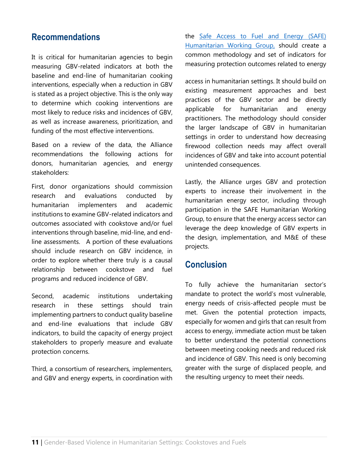#### **Recommendations**

It is critical for humanitarian agencies to begin measuring GBV-related indicators at both the baseline and end-line of humanitarian cooking interventions, especially when a reduction in GBV is stated as a project objective. This is the only way to determine which cooking interventions are most likely to reduce risks and incidences of GBV, as well as increase awareness, prioritization, and funding of the most effective interventions.

Based on a review of the data, the Alliance recommendations the following actions for donors, humanitarian agencies, and energy stakeholders:

First, donor organizations should commission research and evaluations conducted by humanitarian implementers and academic institutions to examine GBV-related indicators and outcomes associated with cookstove and/or fuel interventions through baseline, mid-line, and endline assessments. A portion of these evaluations should include research on GBV incidence, in order to explore whether there truly is a causal relationship between cookstove and fuel programs and reduced incidence of GBV.

Second, academic institutions undertaking research in these settings should train implementing partners to conduct quality baseline and end-line evaluations that include GBV indicators, to build the capacity of energy project stakeholders to properly measure and evaluate protection concerns.

Third, a consortium of researchers, implementers, and GBV and energy experts, in coordination with the [Safe Access to Fuel and Energy \(SAFE\)](http://www.safefuelandenergy.org/)  [Humanitarian Working Group,](http://www.safefuelandenergy.org/) should create a common methodology and set of indicators for measuring protection outcomes related to energy

access in humanitarian settings. It should build on existing measurement approaches and best practices of the GBV sector and be directly applicable for humanitarian and energy practitioners. The methodology should consider the larger landscape of GBV in humanitarian settings in order to understand how decreasing firewood collection needs may affect overall incidences of GBV and take into account potential unintended consequences.

Lastly, the Alliance urges GBV and protection experts to increase their involvement in the humanitarian energy sector, including through participation in the SAFE Humanitarian Working Group, to ensure that the energy access sector can leverage the deep knowledge of GBV experts in the design, implementation, and M&E of these projects.

#### **Conclusion**

To fully achieve the humanitarian sector's mandate to protect the world's most vulnerable, energy needs of crisis-affected people must be met. Given the potential protection impacts, especially for women and girls that can result from access to energy, immediate action must be taken to better understand the potential connections between meeting cooking needs and reduced risk and incidence of GBV. This need is only becoming greater with the surge of displaced people, and the resulting urgency to meet their needs.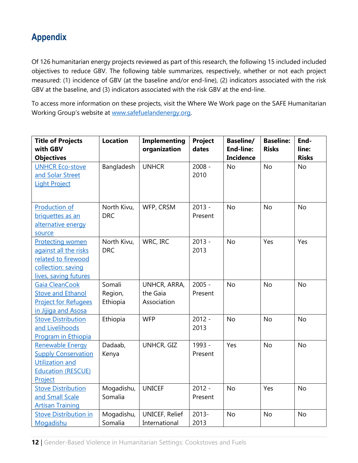### **Appendix**

Of 126 humanitarian energy projects reviewed as part of this research, the following 15 included included objectives to reduce GBV. The following table summarizes, respectively, whether or not each project measured: (1) incidence of GBV (at the baseline and/or end-line), (2) indicators associated with the risk GBV at the baseline, and (3) indicators associated with the risk GBV at the end-line.

To access more information on these projects, visit the Where We Work page on the SAFE Humanitarian Working Group's website at [www.safefuelandenergy.org.](http://www.safefuelandenergy.org/)

| <b>Title of Projects</b><br>with GBV<br><b>Objectives</b>                                                              | <b>Location</b>               | <b>Implementing</b><br>organization     | Project<br>dates    | <b>Baseline/</b><br><b>End-line:</b><br><b>Incidence</b> | <b>Baseline:</b><br><b>Risks</b> | End-<br>line:<br><b>Risks</b> |
|------------------------------------------------------------------------------------------------------------------------|-------------------------------|-----------------------------------------|---------------------|----------------------------------------------------------|----------------------------------|-------------------------------|
| <b>UNHCR Eco-stove</b><br>and Solar Street<br><b>Light Project</b>                                                     | Bangladesh                    | <b>UNHCR</b>                            | $2008 -$<br>2010    | <b>No</b>                                                | <b>No</b>                        | <b>No</b>                     |
| <b>Production of</b><br>briquettes as an<br>alternative energy<br>source                                               | North Kivu,<br><b>DRC</b>     | WFP, CRSM                               | $2013 -$<br>Present | <b>No</b>                                                | <b>No</b>                        | <b>No</b>                     |
| <b>Protecting women</b><br>against all the risks<br>related to firewood<br>collection: saving<br>lives, saving futures | North Kivu,<br><b>DRC</b>     | WRC, IRC                                | $2013 -$<br>2013    | <b>No</b>                                                | Yes                              | Yes                           |
| Gaia CleanCook<br><b>Stove and Ethanol</b><br><b>Project for Refugees</b><br>in Jijiqa and Asosa                       | Somali<br>Region,<br>Ethiopia | UNHCR, ARRA,<br>the Gaia<br>Association | $2005 -$<br>Present | <b>No</b>                                                | <b>No</b>                        | <b>No</b>                     |
| <b>Stove Distribution</b><br>and Livelihoods<br><b>Program in Ethiopia</b>                                             | Ethiopia                      | <b>WFP</b>                              | $2012 -$<br>2013    | <b>No</b>                                                | <b>No</b>                        | <b>No</b>                     |
| Renewable Energy<br><b>Supply Conservation</b><br>Utilization and<br><b>Education (RESCUE)</b><br>Project              | Dadaab,<br>Kenya              | <b>UNHCR, GIZ</b>                       | 1993 -<br>Present   | Yes                                                      | <b>No</b>                        | <b>No</b>                     |
| <b>Stove Distribution</b><br>and Small Scale<br><b>Artisan Training</b>                                                | Mogadishu,<br>Somalia         | <b>UNICEF</b>                           | $2012 -$<br>Present | <b>No</b>                                                | Yes                              | <b>No</b>                     |
| <b>Stove Distribution in</b><br>Mogadishu                                                                              | Mogadishu,<br>Somalia         | <b>UNICEF, Relief</b><br>International  | $2013 -$<br>2013    | <b>No</b>                                                | <b>No</b>                        | No                            |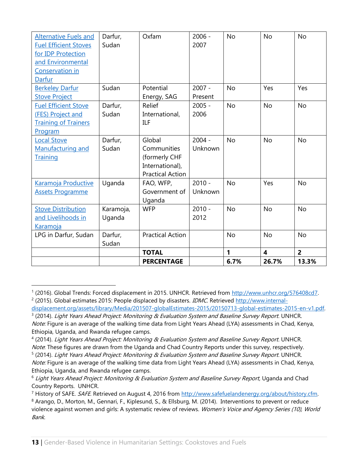| <b>Alternative Fuels and</b><br><b>Fuel Efficient Stoves</b><br>for IDP Protection<br>and Environmental<br>Conservation in<br>Darfur | Darfur,<br>Sudan    | Oxfam                                                                                | $2006 -$<br>2007    | <b>No</b> | <b>No</b>               | <b>No</b>      |
|--------------------------------------------------------------------------------------------------------------------------------------|---------------------|--------------------------------------------------------------------------------------|---------------------|-----------|-------------------------|----------------|
| <b>Berkeley Darfur</b><br><b>Stove Project</b>                                                                                       | Sudan               | Potential<br>Energy, SAG                                                             | $2007 -$<br>Present | <b>No</b> | Yes                     | Yes            |
| <b>Fuel Efficient Stove</b><br>(FES) Project and<br><b>Training of Trainers</b><br>Program                                           | Darfur,<br>Sudan    | Relief<br>International,<br><b>ILF</b>                                               | $2005 -$<br>2006    | <b>No</b> | <b>No</b>               | <b>No</b>      |
| <b>Local Stove</b><br>Manufacturing and<br>Training                                                                                  | Darfur,<br>Sudan    | Global<br>Communities<br>(formerly CHF<br>International),<br><b>Practical Action</b> | $2004 -$<br>Unknown | <b>No</b> | <b>No</b>               | <b>No</b>      |
| Karamoja Productive<br><b>Assets Programme</b>                                                                                       | Uganda              | FAO, WFP,<br>Government of<br>Uganda                                                 | $2010 -$<br>Unknown | <b>No</b> | Yes                     | <b>No</b>      |
| <b>Stove Distribution</b><br>and Livelihoods in<br><b>Karamoja</b>                                                                   | Karamoja,<br>Uganda | <b>WFP</b>                                                                           | $2010 -$<br>2012    | <b>No</b> | <b>No</b>               | <b>No</b>      |
| LPG in Darfur, Sudan                                                                                                                 | Darfur,<br>Sudan    | <b>Practical Action</b>                                                              |                     | <b>No</b> | <b>No</b>               | <b>No</b>      |
|                                                                                                                                      |                     | <b>TOTAL</b>                                                                         |                     | 1         | $\overline{\mathbf{4}}$ | $\overline{2}$ |
|                                                                                                                                      |                     | <b>PERCENTAGE</b>                                                                    |                     | 6.7%      | 26.7%                   | 13.3%          |

<sup>&</sup>lt;sup>1</sup> (2016). Global Trends: Forced displacement in 2015. UNHCR. Retrieved from http://www.unhcr.org/576408cd7.

<sup>&</sup>lt;sup>2</sup> (2015). Global estimates 2015: People displaced by disasters. *IDMC*. Retrieved [http://www.internal-](http://www.internal-displacement.org/assets/library/Media/201507-globalEstimates-2015/20150713-global-estimates-2015-en-v1.pdf)

[displacement.org/assets/library/Media/201507-globalEstimates-2015/20150713-global-estimates-2015-en-v1.pdf.](http://www.internal-displacement.org/assets/library/Media/201507-globalEstimates-2015/20150713-global-estimates-2015-en-v1.pdf)  <sup>3</sup> (2014). *Light Years Ahead Project: Monitoring & Evaluation System and Baseline Survey Report*. UNHCR. Note: Figure is an average of the walking time data from Light Years Ahead (LYA) assessments in Chad, Kenya,

Ethiopia, Uganda, and Rwanda refugee camps.

<sup>&</sup>lt;sup>4</sup> (2014). Light Years Ahead Project: Monitoring & Evaluation System and Baseline Survey Report. UNHCR. Note. These figures are drawn from the Uganda and Chad Country Reports under this survey, respectively.

<sup>&</sup>lt;sup>5</sup> (2014). *Light Years Ahead Project: Monitoring & Evaluation System and Baseline Survey Report*. UNHCR.

Note: Figure is an average of the walking time data from Light Years Ahead (LYA) assessments in Chad, Kenya, Ethiopia, Uganda, and Rwanda refugee camps.

<sup>&</sup>lt;sup>6</sup> Light Years Ahead Project: Monitoring & Evaluation System and Baseline Survey Report, Uganda and Chad Country Reports. UNHCR.

<sup>&</sup>lt;sup>7</sup> History of SAFE. SAFE. Retrieved on August 4, 2016 from [http://www.safefuelandenergy.org/about/history.cfm.](http://www.safefuelandenergy.org/about/history.cfm)

<sup>8</sup> Arango, D., Morton, M., Gennari, F., Kiplesund, S., & Ellsburg, M. (2014). Interventions to prevent or reduce violence against women and girls: A systematic review of reviews. Women's Voice and Agency Series (10), World Bank.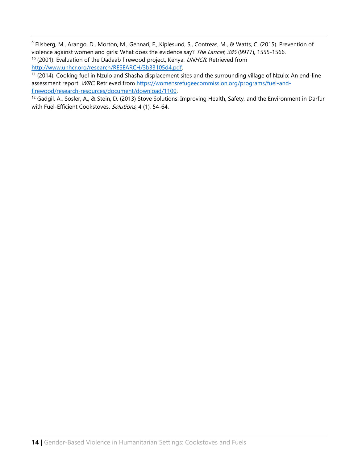<sup>9</sup> Ellsberg, M., Arango, D., Morton, M., Gennari, F., Kiplesund, S., Contreas, M., & Watts, C. (2015). Prevention of violence against women and girls: What does the evidence say? The Lancet, 385 (9977), 1555-1566.  $10$  (2001). Evaluation of the Dadaab firewood project, Kenya. UNHCR. Retrieved from [http://www.unhcr.org/research/RESEARCH/3b33105d4.pdf.](http://www.unhcr.org/research/RESEARCH/3b33105d4.pdf)

<sup>11</sup> (2014). Cooking fuel in Nzulo and Shasha displacement sites and the surrounding village of Nzulo: An end-line assessment report. WRC. Retrieved from [https://womensrefugeecommission.org/programs/fuel-and](https://womensrefugeecommission.org/programs/fuel-and-firewood/research-resources/document/download/1100)[firewood/research-resources/document/download/1100.](https://womensrefugeecommission.org/programs/fuel-and-firewood/research-resources/document/download/1100)

<sup>12</sup> Gadgil, A., Sosler, A., & Stein, D. (2013) Stove Solutions: Improving Health, Safety, and the Environment in Darfur with Fuel-Efficient Cookstoves. Solutions, 4 (1), 54-64.